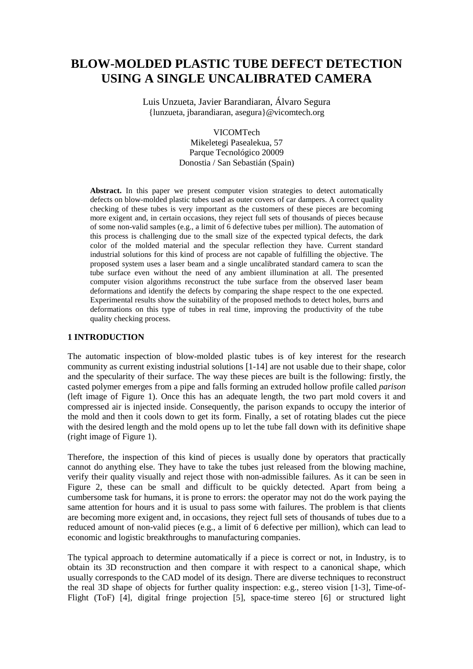# **BLOW-MOLDED PLASTIC TUBE DEFECT DETECTION USING A SINGLE UNCALIBRATED CAMERA**

Luis Unzueta, Javier Barandiaran, Álvaro Segura {lunzueta, jbarandiaran, asegura}@vicomtech.org

> VICOMTech Mikeletegi Pasealekua, 57 Parque Tecnológico 20009 Donostia / San Sebastián (Spain)

**Abstract.** In this paper we present computer vision strategies to detect automatically defects on blow-molded plastic tubes used as outer covers of car dampers. A correct quality checking of these tubes is very important as the customers of these pieces are becoming more exigent and, in certain occasions, they reject full sets of thousands of pieces because of some non-valid samples (e.g., a limit of 6 defective tubes per million). The automation of this process is challenging due to the small size of the expected typical defects, the dark color of the molded material and the specular reflection they have. Current standard industrial solutions for this kind of process are not capable of fulfilling the objective. The proposed system uses a laser beam and a single uncalibrated standard camera to scan the tube surface even without the need of any ambient illumination at all. The presented computer vision algorithms reconstruct the tube surface from the observed laser beam deformations and identify the defects by comparing the shape respect to the one expected. Experimental results show the suitability of the proposed methods to detect holes, burrs and deformations on this type of tubes in real time, improving the productivity of the tube quality checking process.

#### **1 INTRODUCTION**

The automatic inspection of blow-molded plastic tubes is of key interest for the research community as current existing industrial solutions [1-14] are not usable due to their shape, color and the specularity of their surface. The way these pieces are built is the following: firstly, the casted polymer emerges from a pipe and falls forming an extruded hollow profile called *parison* (left image of Figure 1). Once this has an adequate length, the two part mold covers it and compressed air is injected inside. Consequently, the parison expands to occupy the interior of the mold and then it cools down to get its form. Finally, a set of rotating blades cut the piece with the desired length and the mold opens up to let the tube fall down with its definitive shape (right image of Figure 1).

Therefore, the inspection of this kind of pieces is usually done by operators that practically cannot do anything else. They have to take the tubes just released from the blowing machine, verify their quality visually and reject those with non-admissible failures. As it can be seen in Figure 2, these can be small and difficult to be quickly detected. Apart from being a cumbersome task for humans, it is prone to errors: the operator may not do the work paying the same attention for hours and it is usual to pass some with failures. The problem is that clients are becoming more exigent and, in occasions, they reject full sets of thousands of tubes due to a reduced amount of non-valid pieces (e.g., a limit of 6 defective per million), which can lead to economic and logistic breakthroughs to manufacturing companies.

The typical approach to determine automatically if a piece is correct or not, in Industry, is to obtain its 3D reconstruction and then compare it with respect to a canonical shape, which usually corresponds to the CAD model of its design. There are diverse techniques to reconstruct the real 3D shape of objects for further quality inspection: e.g., stereo vision [1-3], Time-of-Flight (ToF) [4], digital fringe projection [5], space-time stereo [6] or structured light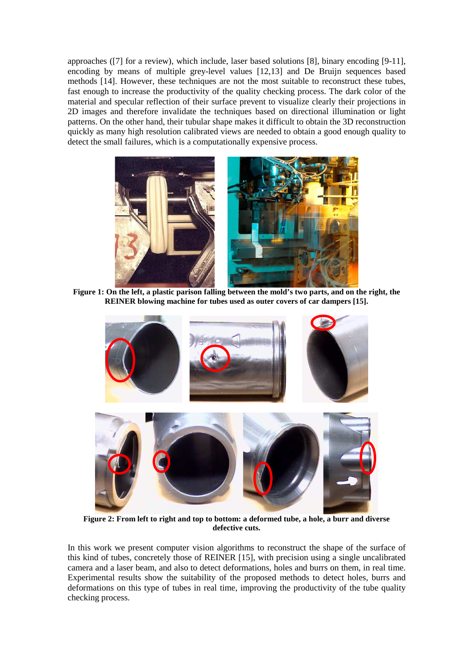approaches ([7] for a review), which include, laser based solutions [8], binary encoding [9-11], encoding by means of multiple grey-level values [12,13] and De Bruijn sequences based methods [14]. However, these techniques are not the most suitable to reconstruct these tubes, fast enough to increase the productivity of the quality checking process. The dark color of the material and specular reflection of their surface prevent to visualize clearly their projections in 2D images and therefore invalidate the techniques based on directional illumination or light patterns. On the other hand, their tubular shape makes it difficult to obtain the 3D reconstruction quickly as many high resolution calibrated views are needed to obtain a good enough quality to detect the small failures, which is a computationally expensive process.



**Figure 1: On the left, a plastic parison falling between the mold's two parts, and on the right, the REINER blowing machine for tubes used as outer covers of car dampers [15].** 



**Figure 2: From left to right and top to bottom: a deformed tube, a hole, a burr and diverse defective cuts.** 

In this work we present computer vision algorithms to reconstruct the shape of the surface of this kind of tubes, concretely those of REINER [15], with precision using a single uncalibrated camera and a laser beam, and also to detect deformations, holes and burrs on them, in real time. Experimental results show the suitability of the proposed methods to detect holes, burrs and deformations on this type of tubes in real time, improving the productivity of the tube quality checking process.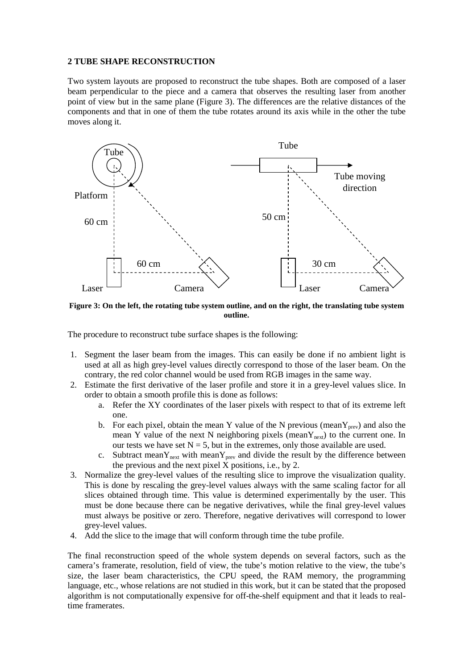#### **2 TUBE SHAPE RECONSTRUCTION**

Two system layouts are proposed to reconstruct the tube shapes. Both are composed of a laser beam perpendicular to the piece and a camera that observes the resulting laser from another point of view but in the same plane (Figure 3). The differences are the relative distances of the components and that in one of them the tube rotates around its axis while in the other the tube moves along it.



**Figure 3: On the left, the rotating tube system outline, and on the right, the translating tube system outline.** 

The procedure to reconstruct tube surface shapes is the following:

- 1. Segment the laser beam from the images. This can easily be done if no ambient light is used at all as high grey-level values directly correspond to those of the laser beam. On the contrary, the red color channel would be used from RGB images in the same way.
- 2. Estimate the first derivative of the laser profile and store it in a grey-level values slice. In order to obtain a smooth profile this is done as follows:
	- a. Refer the XY coordinates of the laser pixels with respect to that of its extreme left one.
	- b. For each pixel, obtain the mean Y value of the N previous (mean  $Y_{prev}$ ) and also the mean Y value of the next N neighboring pixels (mean $Y_{next}$ ) to the current one. In our tests we have set  $N = 5$ , but in the extremes, only those available are used.
	- c. Subtract mean $Y_{next}$  with mean $Y_{prev}$  and divide the result by the difference between the previous and the next pixel  $\overline{X}$  positions, i.e., by 2.
- 3. Normalize the grey-level values of the resulting slice to improve the visualization quality. This is done by rescaling the grey-level values always with the same scaling factor for all slices obtained through time. This value is determined experimentally by the user. This must be done because there can be negative derivatives, while the final grey-level values must always be positive or zero. Therefore, negative derivatives will correspond to lower grey-level values.
- 4. Add the slice to the image that will conform through time the tube profile.

The final reconstruction speed of the whole system depends on several factors, such as the camera's framerate, resolution, field of view, the tube's motion relative to the view, the tube's size, the laser beam characteristics, the CPU speed, the RAM memory, the programming language, etc., whose relations are not studied in this work, but it can be stated that the proposed algorithm is not computationally expensive for off-the-shelf equipment and that it leads to realtime framerates.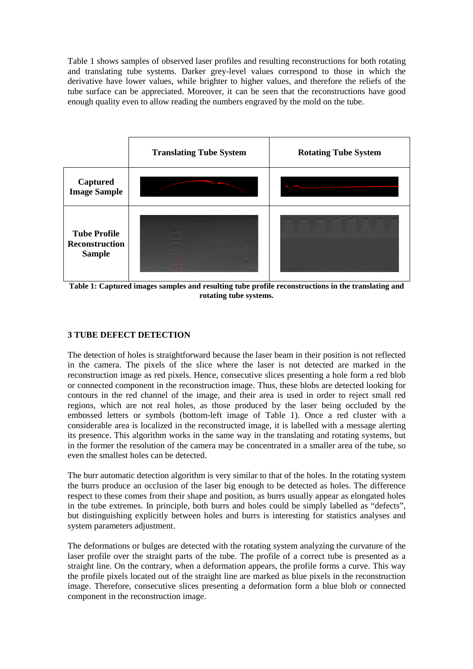Table 1 shows samples of observed laser profiles and resulting reconstructions for both rotating and translating tube systems. Darker grey-level values correspond to those in which the derivative have lower values, while brighter to higher values, and therefore the reliefs of the tube surface can be appreciated. Moreover, it can be seen that the reconstructions have good enough quality even to allow reading the numbers engraved by the mold on the tube.



**Table 1: Captured images samples and resulting tube profile reconstructions in the translating and rotating tube systems.** 

# **3 TUBE DEFECT DETECTION**

The detection of holes is straightforward because the laser beam in their position is not reflected in the camera. The pixels of the slice where the laser is not detected are marked in the reconstruction image as red pixels. Hence, consecutive slices presenting a hole form a red blob or connected component in the reconstruction image. Thus, these blobs are detected looking for contours in the red channel of the image, and their area is used in order to reject small red regions, which are not real holes, as those produced by the laser being occluded by the embossed letters or symbols (bottom-left image of Table 1). Once a red cluster with a considerable area is localized in the reconstructed image, it is labelled with a message alerting its presence. This algorithm works in the same way in the translating and rotating systems, but in the former the resolution of the camera may be concentrated in a smaller area of the tube, so even the smallest holes can be detected.

The burr automatic detection algorithm is very similar to that of the holes. In the rotating system the burrs produce an occlusion of the laser big enough to be detected as holes. The difference respect to these comes from their shape and position, as burrs usually appear as elongated holes in the tube extremes. In principle, both burrs and holes could be simply labelled as "defects", but distinguishing explicitly between holes and burrs is interesting for statistics analyses and system parameters adjustment.

The deformations or bulges are detected with the rotating system analyzing the curvature of the laser profile over the straight parts of the tube. The profile of a correct tube is presented as a straight line. On the contrary, when a deformation appears, the profile forms a curve. This way the profile pixels located out of the straight line are marked as blue pixels in the reconstruction image. Therefore, consecutive slices presenting a deformation form a blue blob or connected component in the reconstruction image.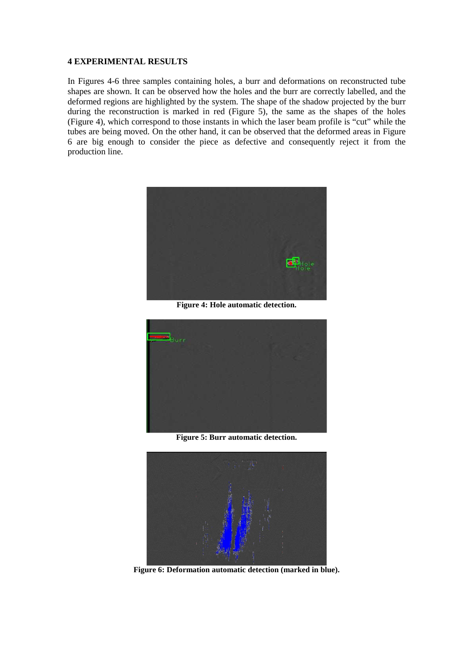#### **4 EXPERIMENTAL RESULTS**

In Figures 4-6 three samples containing holes, a burr and deformations on reconstructed tube shapes are shown. It can be observed how the holes and the burr are correctly labelled, and the deformed regions are highlighted by the system. The shape of the shadow projected by the burr during the reconstruction is marked in red (Figure 5), the same as the shapes of the holes (Figure 4), which correspond to those instants in which the laser beam profile is "cut" while the tubes are being moved. On the other hand, it can be observed that the deformed areas in Figure 6 are big enough to consider the piece as defective and consequently reject it from the production line.



**Figure 4: Hole automatic detection.** 



**Figure 5: Burr automatic detection.** 



**Figure 6: Deformation automatic detection (marked in blue).**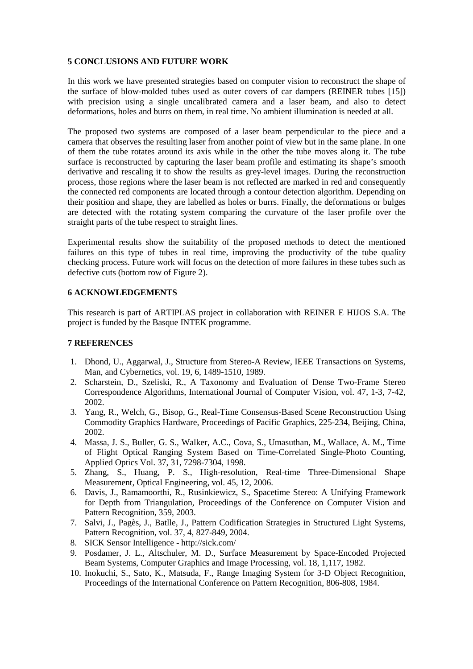### **5 CONCLUSIONS AND FUTURE WORK**

In this work we have presented strategies based on computer vision to reconstruct the shape of the surface of blow-molded tubes used as outer covers of car dampers (REINER tubes [15]) with precision using a single uncalibrated camera and a laser beam, and also to detect deformations, holes and burrs on them, in real time. No ambient illumination is needed at all.

The proposed two systems are composed of a laser beam perpendicular to the piece and a camera that observes the resulting laser from another point of view but in the same plane. In one of them the tube rotates around its axis while in the other the tube moves along it. The tube surface is reconstructed by capturing the laser beam profile and estimating its shape's smooth derivative and rescaling it to show the results as grey-level images. During the reconstruction process, those regions where the laser beam is not reflected are marked in red and consequently the connected red components are located through a contour detection algorithm. Depending on their position and shape, they are labelled as holes or burrs. Finally, the deformations or bulges are detected with the rotating system comparing the curvature of the laser profile over the straight parts of the tube respect to straight lines.

Experimental results show the suitability of the proposed methods to detect the mentioned failures on this type of tubes in real time, improving the productivity of the tube quality checking process. Future work will focus on the detection of more failures in these tubes such as defective cuts (bottom row of Figure 2).

## **6 ACKNOWLEDGEMENTS**

This research is part of ARTIPLAS project in collaboration with REINER E HIJOS S.A. The project is funded by the Basque INTEK programme.

### **7 REFERENCES**

- 1. Dhond, U., Aggarwal, J., Structure from Stereo-A Review, IEEE Transactions on Systems, Man, and Cybernetics, vol. 19, 6, 1489-1510, 1989.
- 2. Scharstein, D., Szeliski, R., A Taxonomy and Evaluation of Dense Two-Frame Stereo Correspondence Algorithms, International Journal of Computer Vision, vol. 47, 1-3, 7-42, 2002.
- 3. Yang, R., Welch, G., Bisop, G., Real-Time Consensus-Based Scene Reconstruction Using Commodity Graphics Hardware, Proceedings of Pacific Graphics, 225-234, Beijing, China, 2002.
- 4. Massa, J. S., Buller, G. S., Walker, A.C., Cova, S., Umasuthan, M., Wallace, A. M., Time of Flight Optical Ranging System Based on Time-Correlated Single-Photo Counting, Applied Optics Vol. 37, 31, 7298-7304, 1998.
- 5. Zhang, S., Huang, P. S., High-resolution, Real-time Three-Dimensional Shape Measurement, Optical Engineering, vol. 45, 12, 2006.
- 6. Davis, J., Ramamoorthi, R., Rusinkiewicz, S., Spacetime Stereo: A Unifying Framework for Depth from Triangulation, Proceedings of the Conference on Computer Vision and Pattern Recognition, 359, 2003.
- 7. Salvi, J., Pagès, J., Batlle, J., Pattern Codification Strategies in Structured Light Systems, Pattern Recognition, vol. 37, 4, 827-849, 2004.
- 8. SICK Sensor Intelligence http://sick.com/
- 9. Posdamer, J. L., Altschuler, M. D., Surface Measurement by Space-Encoded Projected Beam Systems, Computer Graphics and Image Processing, vol. 18, 1,117, 1982.
- 10. Inokuchi, S., Sato, K., Matsuda, F., Range Imaging System for 3-D Object Recognition, Proceedings of the International Conference on Pattern Recognition, 806-808, 1984.